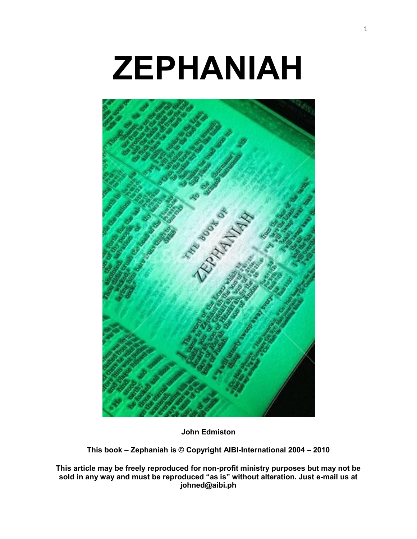# **ZEPHANIAH**



**John Edmiston**

**This book – Zephaniah is © Copyright AIBI-International 2004 – 2010**

**This article may be freely reproduced for non-profit ministry purposes but may not be sold in any way and must be reproduced "as is" without alteration. Just e-mail us at johned@aibi.ph**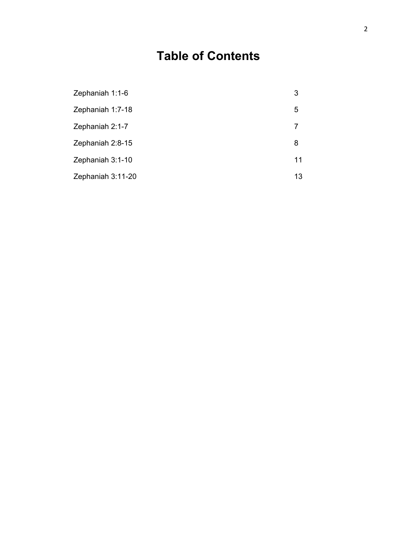## **Table of Contents**

| Zephaniah 1:1-6   | 3  |
|-------------------|----|
| Zephaniah 1:7-18  | 5  |
| Zephaniah 2:1-7   | 7  |
| Zephaniah 2:8-15  | 8  |
| Zephaniah 3:1-10  | 11 |
| Zephaniah 3:11-20 | 13 |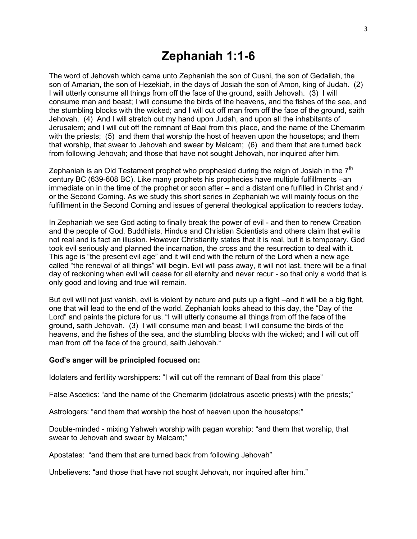#### **Zephaniah 1:1-6**

The word of Jehovah which came unto Zephaniah the son of Cushi, the son of Gedaliah, the son of Amariah, the son of Hezekiah, in the days of Josiah the son of Amon, king of Judah. (2) I will utterly consume all things from off the face of the ground, saith Jehovah. (3) I will consume man and beast; I will consume the birds of the heavens, and the fishes of the sea, and the stumbling blocks with the wicked; and I will cut off man from off the face of the ground, saith Jehovah. (4) And I will stretch out my hand upon Judah, and upon all the inhabitants of Jerusalem; and I will cut off the remnant of Baal from this place, and the name of the Chemarim with the priests; (5) and them that worship the host of heaven upon the housetops; and them that worship, that swear to Jehovah and swear by Malcam; (6) and them that are turned back from following Jehovah; and those that have not sought Jehovah, nor inquired after him.

Zephaniah is an Old Testament prophet who prophesied during the reign of Josiah in the  $7<sup>th</sup>$ century BC (639-608 BC). Like many prophets his prophecies have multiple fulfillments –an immediate on in the time of the prophet or soon after – and a distant one fulfilled in Christ and / or the Second Coming. As we study this short series in Zephaniah we will mainly focus on the fulfillment in the Second Coming and issues of general theological application to readers today.

In Zephaniah we see God acting to finally break the power of evil - and then to renew Creation and the people of God. Buddhists, Hindus and Christian Scientists and others claim that evil is not real and is fact an illusion. However Christianity states that it is real, but it is temporary. God took evil seriously and planned the incarnation, the cross and the resurrection to deal with it. This age is "the present evil age" and it will end with the return of the Lord when a new age called "the renewal of all things" will begin. Evil will pass away, it will not last, there will be a final day of reckoning when evil will cease for all eternity and never recur - so that only a world that is only good and loving and true will remain.

But evil will not just vanish, evil is violent by nature and puts up a fight –and it will be a big fight, one that will lead to the end of the world. Zephaniah looks ahead to this day, the "Day of the Lord" and paints the picture for us. "I will utterly consume all things from off the face of the ground, saith Jehovah. (3) I will consume man and beast; I will consume the birds of the heavens, and the fishes of the sea, and the stumbling blocks with the wicked; and I will cut off man from off the face of the ground, saith Jehovah."

#### **God's anger will be principled focused on:**

Idolaters and fertility worshippers: "I will cut off the remnant of Baal from this place"

False Ascetics: "and the name of the Chemarim (idolatrous ascetic priests) with the priests;"

Astrologers: "and them that worship the host of heaven upon the housetops;"

Double-minded - mixing Yahweh worship with pagan worship: "and them that worship, that swear to Jehovah and swear by Malcam;"

Apostates: "and them that are turned back from following Jehovah"

Unbelievers: "and those that have not sought Jehovah, nor inquired after him."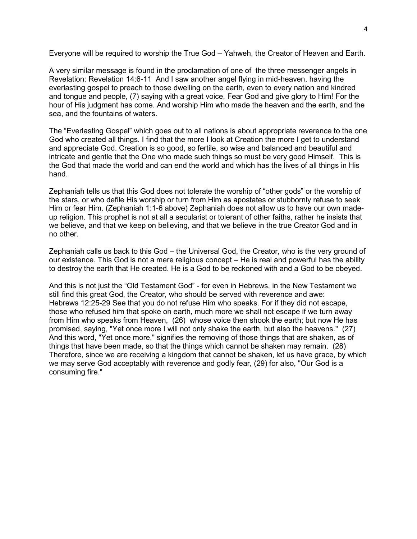Everyone will be required to worship the True God – Yahweh, the Creator of Heaven and Earth.

A very similar message is found in the proclamation of one of the three messenger angels in Revelation: Revelation 14:6-11 And I saw another angel flying in mid-heaven, having the everlasting gospel to preach to those dwelling on the earth, even to every nation and kindred and tongue and people, (7) saying with a great voice, Fear God and give glory to Him! For the hour of His judgment has come. And worship Him who made the heaven and the earth, and the sea, and the fountains of waters.

The "Everlasting Gospel" which goes out to all nations is about appropriate reverence to the one God who created all things. I find that the more I look at Creation the more I get to understand and appreciate God. Creation is so good, so fertile, so wise and balanced and beautiful and intricate and gentle that the One who made such things so must be very good Himself. This is the God that made the world and can end the world and which has the lives of all things in His hand.

Zephaniah tells us that this God does not tolerate the worship of "other gods" or the worship of the stars, or who defile His worship or turn from Him as apostates or stubbornly refuse to seek Him or fear Him. (Zephaniah 1:1-6 above) Zephaniah does not allow us to have our own madeup religion. This prophet is not at all a secularist or tolerant of other faiths, rather he insists that we believe, and that we keep on believing, and that we believe in the true Creator God and in no other.

Zephaniah calls us back to this God – the Universal God, the Creator, who is the very ground of our existence. This God is not a mere religious concept – He is real and powerful has the ability to destroy the earth that He created. He is a God to be reckoned with and a God to be obeyed.

And this is not just the "Old Testament God" - for even in Hebrews, in the New Testament we still find this great God, the Creator, who should be served with reverence and awe: Hebrews 12:25-29 See that you do not refuse Him who speaks. For if they did not escape, those who refused him that spoke on earth, much more we shall not escape if we turn away from Him who speaks from Heaven, (26) whose voice then shook the earth; but now He has promised, saying, "Yet once more I will not only shake the earth, but also the heavens." (27) And this word, "Yet once more," signifies the removing of those things that are shaken, as of things that have been made, so that the things which cannot be shaken may remain. (28) Therefore, since we are receiving a kingdom that cannot be shaken, let us have grace, by which we may serve God acceptably with reverence and godly fear, (29) for also, "Our God is a consuming fire."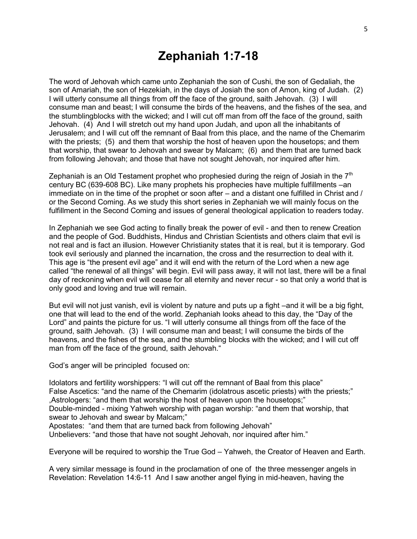## **Zephaniah 1:7-18**

The word of Jehovah which came unto Zephaniah the son of Cushi, the son of Gedaliah, the son of Amariah, the son of Hezekiah, in the days of Josiah the son of Amon, king of Judah. (2) I will utterly consume all things from off the face of the ground, saith Jehovah. (3) I will consume man and beast; I will consume the birds of the heavens, and the fishes of the sea, and the stumblingblocks with the wicked; and I will cut off man from off the face of the ground, saith Jehovah. (4) And I will stretch out my hand upon Judah, and upon all the inhabitants of Jerusalem; and I will cut off the remnant of Baal from this place, and the name of the Chemarim with the priests; (5) and them that worship the host of heaven upon the housetops; and them that worship, that swear to Jehovah and swear by Malcam; (6) and them that are turned back from following Jehovah; and those that have not sought Jehovah, nor inquired after him.

Zephaniah is an Old Testament prophet who prophesied during the reign of Josiah in the  $7<sup>th</sup>$ century BC (639-608 BC). Like many prophets his prophecies have multiple fulfillments –an immediate on in the time of the prophet or soon after – and a distant one fulfilled in Christ and / or the Second Coming. As we study this short series in Zephaniah we will mainly focus on the fulfillment in the Second Coming and issues of general theological application to readers today.

In Zephaniah we see God acting to finally break the power of evil - and then to renew Creation and the people of God. Buddhists, Hindus and Christian Scientists and others claim that evil is not real and is fact an illusion. However Christianity states that it is real, but it is temporary. God took evil seriously and planned the incarnation, the cross and the resurrection to deal with it. This age is "the present evil age" and it will end with the return of the Lord when a new age called "the renewal of all things" will begin. Evil will pass away, it will not last, there will be a final day of reckoning when evil will cease for all eternity and never recur - so that only a world that is only good and loving and true will remain.

But evil will not just vanish, evil is violent by nature and puts up a fight –and it will be a big fight, one that will lead to the end of the world. Zephaniah looks ahead to this day, the "Day of the Lord" and paints the picture for us. "I will utterly consume all things from off the face of the ground, saith Jehovah. (3) I will consume man and beast; I will consume the birds of the heavens, and the fishes of the sea, and the stumbling blocks with the wicked; and I will cut off man from off the face of the ground, saith Jehovah."

God's anger will be principled focused on:

Idolators and fertility worshippers: "I will cut off the remnant of Baal from this place" False Ascetics: "and the name of the Chemarim (idolatrous ascetic priests) with the priests;" ,Astrologers: "and them that worship the host of heaven upon the housetops;" Double-minded - mixing Yahweh worship with pagan worship: "and them that worship, that swear to Jehovah and swear by Malcam;"

Apostates: "and them that are turned back from following Jehovah"

Unbelievers: "and those that have not sought Jehovah, nor inquired after him."

Everyone will be required to worship the True God – Yahweh, the Creator of Heaven and Earth.

A very similar message is found in the proclamation of one of the three messenger angels in Revelation: Revelation 14:6-11 And I saw another angel flying in mid-heaven, having the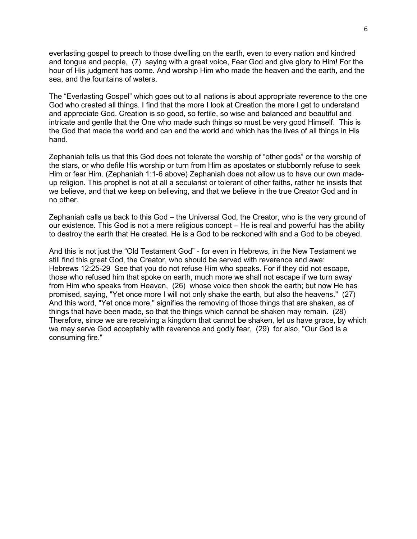everlasting gospel to preach to those dwelling on the earth, even to every nation and kindred and tongue and people, (7) saying with a great voice, Fear God and give glory to Him! For the hour of His judgment has come. And worship Him who made the heaven and the earth, and the sea, and the fountains of waters.

The "Everlasting Gospel" which goes out to all nations is about appropriate reverence to the one God who created all things. I find that the more I look at Creation the more I get to understand and appreciate God. Creation is so good, so fertile, so wise and balanced and beautiful and intricate and gentle that the One who made such things so must be very good Himself. This is the God that made the world and can end the world and which has the lives of all things in His hand.

Zephaniah tells us that this God does not tolerate the worship of "other gods" or the worship of the stars, or who defile His worship or turn from Him as apostates or stubbornly refuse to seek Him or fear Him. (Zephaniah 1:1-6 above) Zephaniah does not allow us to have our own madeup religion. This prophet is not at all a secularist or tolerant of other faiths, rather he insists that we believe, and that we keep on believing, and that we believe in the true Creator God and in no other.

Zephaniah calls us back to this God – the Universal God, the Creator, who is the very ground of our existence. This God is not a mere religious concept – He is real and powerful has the ability to destroy the earth that He created. He is a God to be reckoned with and a God to be obeyed.

And this is not just the "Old Testament God" - for even in Hebrews, in the New Testament we still find this great God, the Creator, who should be served with reverence and awe: Hebrews 12:25-29 See that you do not refuse Him who speaks. For if they did not escape, those who refused him that spoke on earth, much more we shall not escape if we turn away from Him who speaks from Heaven, (26) whose voice then shook the earth; but now He has promised, saying, "Yet once more I will not only shake the earth, but also the heavens." (27) And this word, "Yet once more," signifies the removing of those things that are shaken, as of things that have been made, so that the things which cannot be shaken may remain. (28) Therefore, since we are receiving a kingdom that cannot be shaken, let us have grace, by which we may serve God acceptably with reverence and godly fear, (29) for also, "Our God is a consuming fire."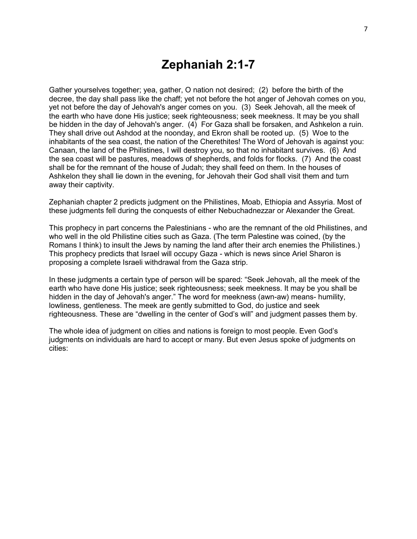#### **Zephaniah 2:1-7**

Gather yourselves together; yea, gather, O nation not desired; (2) before the birth of the decree, the day shall pass like the chaff; yet not before the hot anger of Jehovah comes on you, yet not before the day of Jehovah's anger comes on you. (3) Seek Jehovah, all the meek of the earth who have done His justice; seek righteousness; seek meekness. It may be you shall be hidden in the day of Jehovah's anger. (4) For Gaza shall be forsaken, and Ashkelon a ruin. They shall drive out Ashdod at the noonday, and Ekron shall be rooted up. (5) Woe to the inhabitants of the sea coast, the nation of the Cherethites! The Word of Jehovah is against you: Canaan, the land of the Philistines, I will destroy you, so that no inhabitant survives. (6) And the sea coast will be pastures, meadows of shepherds, and folds for flocks. (7) And the coast shall be for the remnant of the house of Judah; they shall feed on them. In the houses of Ashkelon they shall lie down in the evening, for Jehovah their God shall visit them and turn away their captivity.

Zephaniah chapter 2 predicts judgment on the Philistines, Moab, Ethiopia and Assyria. Most of these judgments fell during the conquests of either Nebuchadnezzar or Alexander the Great.

This prophecy in part concerns the Palestinians - who are the remnant of the old Philistines, and who well in the old Philistine cities such as Gaza. (The term Palestine was coined, (by the Romans I think) to insult the Jews by naming the land after their arch enemies the Philistines.) This prophecy predicts that Israel will occupy Gaza - which is news since Ariel Sharon is proposing a complete Israeli withdrawal from the Gaza strip.

In these judgments a certain type of person will be spared: "Seek Jehovah, all the meek of the earth who have done His justice; seek righteousness; seek meekness. It may be you shall be hidden in the day of Jehovah's anger." The word for meekness (awn-aw) means- humility, lowliness, gentleness. The meek are gently submitted to God, do justice and seek righteousness. These are "dwelling in the center of God's will" and judgment passes them by.

The whole idea of judgment on cities and nations is foreign to most people. Even God's judgments on individuals are hard to accept or many. But even Jesus spoke of judgments on cities: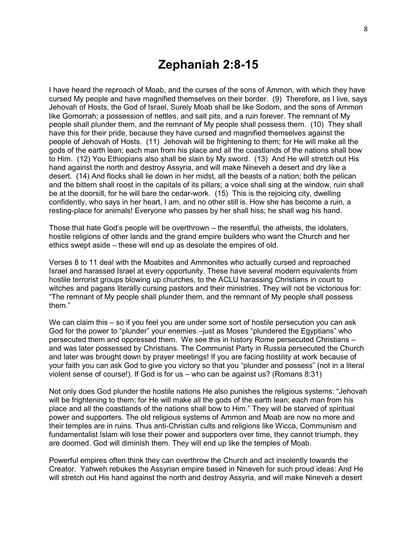### **Zephaniah 2:8-15**

I have heard the reproach of Moab, and the curses of the sons of Ammon, with which they have cursed My people and have magnified themselves on their border. (9) Therefore, as I live, says Jehovah of Hosts, the God of Israel, Surely Moab shall be like Sodom, and the sons of Ammon like Gomorrah; a possession of nettles, and salt pits, and a ruin forever. The remnant of My people shall plunder them, and the remnant of My people shall possess them. (10) They shall have this for their pride, because they have cursed and magnified themselves against the people of Jehovah of Hosts. (11) Jehovah will be frightening to them; for He will make all the gods of the earth lean; each man from his place and all the coastlands of the nations shall bow to Him. (12) You Ethiopians also shall be slain by My sword. (13) And He will stretch out His hand against the north and destroy Assyria, and will make Nineveh a desert and dry like a desert. (14) And flocks shall lie down in her midst, all the beasts of a nation; both the pelican and the bittern shall roost in the capitals of its pillars; a voice shall sing at the window, ruin shall be at the doorsill, for he will bare the cedar-work. (15) This is the rejoicing city, dwelling confidently, who says in her heart, I am, and no other still is. How she has become a ruin, a resting-place for animals! Everyone who passes by her shall hiss; he shall wag his hand.

Those that hate God's people will be overthrown – the resentful, the atheists, the idolaters, hostile religions of other lands and the grand empire builders who want the Church and her ethics swept aside – these will end up as desolate the empires of old.

Verses 8 to 11 deal with the Moabites and Ammonites who actually cursed and reproached Israel and harassed Israel at every opportunity. These have several modern equivalents from hostile terrorist groups blowing up churches, to the ACLU harassing Christians in court to witches and pagans literally cursing pastors and their ministries. They will not be victorious for: "The remnant of My people shall plunder them, and the remnant of My people shall possess them."

We can claim this – so if you feel you are under some sort of hostile persecution you can ask God for the power to "plunder" your enemies –just as Moses "plundered the Egyptians" who persecuted them and oppressed them. We see this in history Rome persecuted Christians – and was later possessed by Christians. The Communist Party in Russia persecuted the Church and later was brought down by prayer meetings! If you are facing hostility at work because of your faith you can ask God to give you victory so that you "plunder and possess" (not in a literal violent sense of course!). If God is for us – who can be against us? (Romans 8:31)

Not only does God plunder the hostile nations He also punishes the religious systems: "Jehovah will be frightening to them; for He will make all the gods of the earth lean; each man from his place and all the coastlands of the nations shall bow to Him." They will be starved of spiritual power and supporters. The old religious systems of Ammon and Moab are now no more and their temples are in ruins. Thus anti-Christian cults and religions like Wicca, Communism and fundamentalist Islam will lose their power and supporters over time, they cannot triumph, they are doomed. God will diminish them. They will end up like the temples of Moab.

Powerful empires often think they can overthrow the Church and act insolently towards the Creator. Yahweh rebukes the Assyrian empire based in Nineveh for such proud ideas: And He will stretch out His hand against the north and destroy Assyria, and will make Nineveh a desert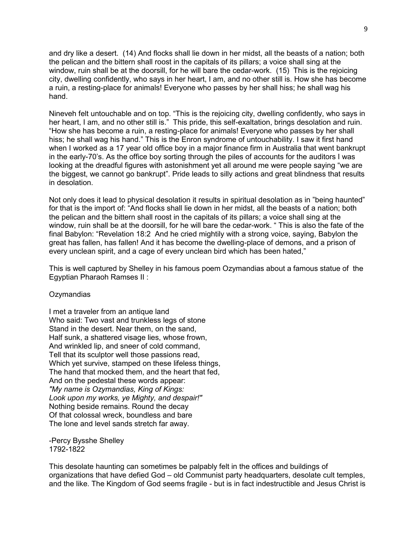and dry like a desert. (14) And flocks shall lie down in her midst, all the beasts of a nation; both the pelican and the bittern shall roost in the capitals of its pillars; a voice shall sing at the window, ruin shall be at the doorsill, for he will bare the cedar-work. (15) This is the rejoicing city, dwelling confidently, who says in her heart, I am, and no other still is. How she has become a ruin, a resting-place for animals! Everyone who passes by her shall hiss; he shall wag his hand.

Nineveh felt untouchable and on top. "This is the rejoicing city, dwelling confidently, who says in her heart, I am, and no other still is." This pride, this self-exaltation, brings desolation and ruin. "How she has become a ruin, a resting-place for animals! Everyone who passes by her shall hiss; he shall wag his hand." This is the Enron syndrome of untouchability. I saw it first hand when I worked as a 17 year old office boy in a major finance firm in Australia that went bankrupt in the early-70's. As the office boy sorting through the piles of accounts for the auditors I was looking at the dreadful figures with astonishment yet all around me were people saying "we are the biggest, we cannot go bankrupt". Pride leads to silly actions and great blindness that results in desolation.

Not only does it lead to physical desolation it results in spiritual desolation as in "being haunted" for that is the import of: "And flocks shall lie down in her midst, all the beasts of a nation; both the pelican and the bittern shall roost in the capitals of its pillars; a voice shall sing at the window, ruin shall be at the doorsill, for he will bare the cedar-work. " This is also the fate of the final Babylon: "Revelation 18:2 And he cried mightily with a strong voice, saying, Babylon the great has fallen, has fallen! And it has become the dwelling-place of demons, and a prison of every unclean spirit, and a cage of every unclean bird which has been hated,"

This is well captured by Shelley in his famous poem Ozymandias about a famous statue of the Egyptian Pharaoh Ramses II :

#### **Ozymandias**

I met a traveler from an antique land Who said: Two vast and trunkless legs of stone Stand in the desert. Near them, on the sand, Half sunk, a shattered visage lies, whose frown, And wrinkled lip, and sneer of cold command, Tell that its sculptor well those passions read, Which yet survive, stamped on these lifeless things, The hand that mocked them, and the heart that fed, And on the pedestal these words appear: *"My name is Ozymandias, King of Kings: Look upon my works, ye Mighty, and despair!"* Nothing beside remains. Round the decay Of that colossal wreck, boundless and bare The lone and level sands stretch far away.

-Percy Bysshe Shelley 1792-1822

This desolate haunting can sometimes be palpably felt in the offices and buildings of organizations that have defied God – old Communist party headquarters, desolate cult temples, and the like. The Kingdom of God seems fragile - but is in fact indestructible and Jesus Christ is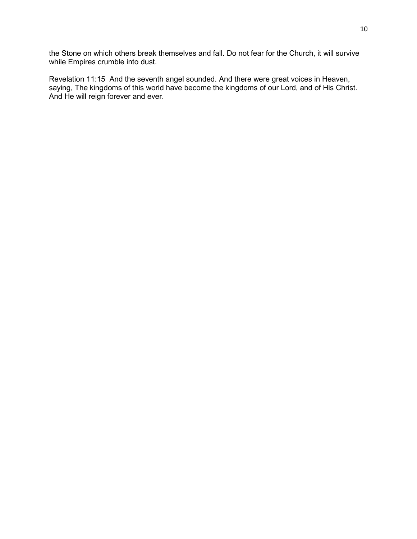the Stone on which others break themselves and fall. Do not fear for the Church, it will survive while Empires crumble into dust.

Revelation 11:15 And the seventh angel sounded. And there were great voices in Heaven, saying, The kingdoms of this world have become the kingdoms of our Lord, and of His Christ. And He will reign forever and ever.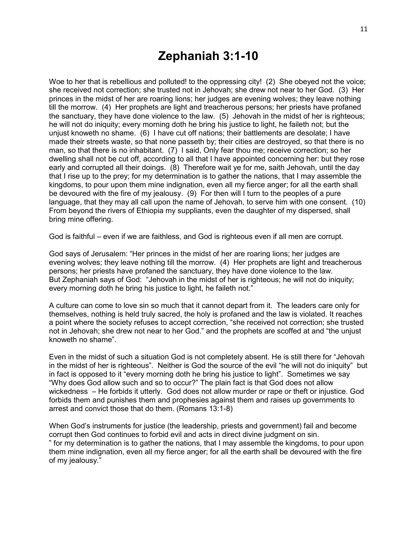## **Zephaniah 3:1-10**

Woe to her that is rebellious and polluted! to the oppressing city! (2) She obeyed not the voice; she received not correction; she trusted not in Jehovah; she drew not near to her God. (3) Her princes in the midst of her are roaring lions; her judges are evening wolves; they leave nothing till the morrow. (4) Her prophets are light and treacherous persons; her priests have profaned the sanctuary, they have done violence to the law. (5) Jehovah in the midst of her is righteous; he will not do iniquity; every morning doth he bring his justice to light, he faileth not; but the unjust knoweth no shame. (6) I have cut off nations; their battlements are desolate; I have made their streets waste, so that none passeth by; their cities are destroyed, so that there is no man, so that there is no inhabitant. (7) I said, Only fear thou me; receive correction; so her dwelling shall not be cut off, according to all that I have appointed concerning her: but they rose early and corrupted all their doings. (8) Therefore wait ye for me, saith Jehovah, until the day that I rise up to the prey; for my determination is to gather the nations, that I may assemble the kingdoms, to pour upon them mine indignation, even all my fierce anger; for all the earth shall be devoured with the fire of my jealousy. (9) For then will I turn to the peoples of a pure language, that they may all call upon the name of Jehovah, to serve him with one consent. (10) From beyond the rivers of Ethiopia my suppliants, even the daughter of my dispersed, shall bring mine offering.

God is faithful – even if we are faithless, and God is righteous even if all men are corrupt.

God says of Jerusalem: "Her princes in the midst of her are roaring lions; her judges are evening wolves; they leave nothing till the morrow. (4) Her prophets are light and treacherous persons; her priests have profaned the sanctuary, they have done violence to the law. But Zephaniah says of God: "Jehovah in the midst of her is righteous; he will not do iniquity; every morning doth he bring his justice to light, he faileth not."

A culture can come to love sin so much that it cannot depart from it. The leaders care only for themselves, nothing is held truly sacred, the holy is profaned and the law is violated. It reaches a point where the society refuses to accept correction, "she received not correction; she trusted not in Jehovah; she drew not near to her God." and the prophets are scoffed at and "the unjust knoweth no shame".

Even in the midst of such a situation God is not completely absent. He is still there for "Jehovah in the midst of her is righteous". Neither is God the source of the evil "he will not do iniquity" but in fact is opposed to it "every morning doth he bring his justice to light". Sometimes we say "Why does God allow such and so to occur?" The plain fact is that God does not allow wickedness – He forbids it utterly. God does not allow murder or rape or theft or injustice. God forbids them and punishes them and prophesies against them and raises up governments to arrest and convict those that do them. (Romans 13:1-8)

When God's instruments for justice (the leadership, priests and government) fail and become corrupt then God continues to forbid evil and acts in direct divine judgment on sin. " for my determination is to gather the nations, that I may assemble the kingdoms, to pour upon them mine indignation, even all my fierce anger; for all the earth shall be devoured with the fire of my jealousy."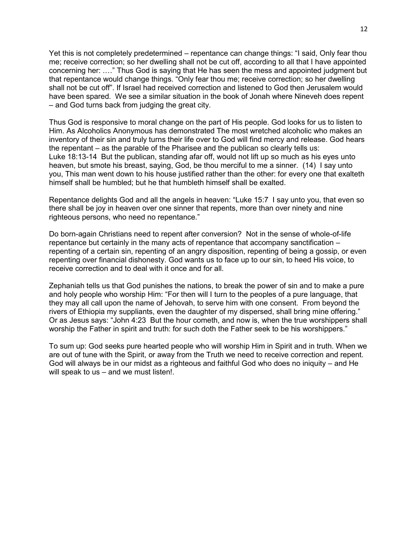Yet this is not completely predetermined – repentance can change things: "I said, Only fear thou me; receive correction; so her dwelling shall not be cut off, according to all that I have appointed concerning her: .…" Thus God is saying that He has seen the mess and appointed judgment but that repentance would change things. "Only fear thou me; receive correction; so her dwelling shall not be cut off". If Israel had received correction and listened to God then Jerusalem would have been spared. We see a similar situation in the book of Jonah where Nineveh does repent – and God turns back from judging the great city.

Thus God is responsive to moral change on the part of His people. God looks for us to listen to Him. As Alcoholics Anonymous has demonstrated The most wretched alcoholic who makes an inventory of their sin and truly turns their life over to God will find mercy and release. God hears the repentant – as the parable of the Pharisee and the publican so clearly tells us: Luke 18:13-14 But the publican, standing afar off, would not lift up so much as his eyes unto heaven, but smote his breast, saying, God, be thou merciful to me a sinner. (14) I say unto you, This man went down to his house justified rather than the other: for every one that exalteth himself shall be humbled; but he that humbleth himself shall be exalted.

Repentance delights God and all the angels in heaven: "Luke 15:7 I say unto you, that even so there shall be joy in heaven over one sinner that repents, more than over ninety and nine righteous persons, who need no repentance."

Do born-again Christians need to repent after conversion? Not in the sense of whole-of-life repentance but certainly in the many acts of repentance that accompany sanctification – repenting of a certain sin, repenting of an angry disposition, repenting of being a gossip, or even repenting over financial dishonesty. God wants us to face up to our sin, to heed His voice, to receive correction and to deal with it once and for all.

Zephaniah tells us that God punishes the nations, to break the power of sin and to make a pure and holy people who worship Him: "For then will I turn to the peoples of a pure language, that they may all call upon the name of Jehovah, to serve him with one consent. From beyond the rivers of Ethiopia my suppliants, even the daughter of my dispersed, shall bring mine offering." Or as Jesus says: "John 4:23 But the hour cometh, and now is, when the true worshippers shall worship the Father in spirit and truth: for such doth the Father seek to be his worshippers."

To sum up: God seeks pure hearted people who will worship Him in Spirit and in truth. When we are out of tune with the Spirit, or away from the Truth we need to receive correction and repent. God will always be in our midst as a righteous and faithful God who does no iniquity – and He will speak to us – and we must listen!.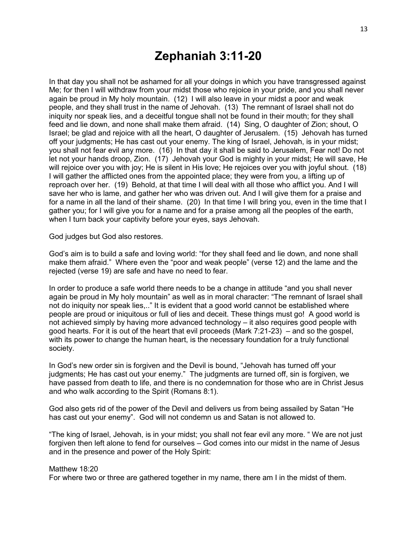## **Zephaniah 3:11-20**

In that day you shall not be ashamed for all your doings in which you have transgressed against Me; for then I will withdraw from your midst those who rejoice in your pride, and you shall never again be proud in My holy mountain. (12) I will also leave in your midst a poor and weak people, and they shall trust in the name of Jehovah. (13) The remnant of Israel shall not do iniquity nor speak lies, and a deceitful tongue shall not be found in their mouth; for they shall feed and lie down, and none shall make them afraid. (14) Sing, O daughter of Zion; shout, O Israel; be glad and rejoice with all the heart, O daughter of Jerusalem. (15) Jehovah has turned off your judgments; He has cast out your enemy. The king of Israel, Jehovah, is in your midst; you shall not fear evil any more. (16) In that day it shall be said to Jerusalem, Fear not! Do not let not your hands droop, Zion. (17) Jehovah your God is mighty in your midst; He will save, He will rejoice over you with joy; He is silent in His love; He rejoices over you with joyful shout. (18) I will gather the afflicted ones from the appointed place; they were from you, a lifting up of reproach over her. (19) Behold, at that time I will deal with all those who afflict you. And I will save her who is lame, and gather her who was driven out. And I will give them for a praise and for a name in all the land of their shame. (20) In that time I will bring you, even in the time that I gather you; for I will give you for a name and for a praise among all the peoples of the earth, when I turn back your captivity before your eyes, says Jehovah.

God judges but God also restores.

God's aim is to build a safe and loving world: "for they shall feed and lie down, and none shall make them afraid." Where even the "poor and weak people" (verse 12) and the lame and the rejected (verse 19) are safe and have no need to fear.

In order to produce a safe world there needs to be a change in attitude "and you shall never again be proud in My holy mountain" as well as in moral character: "The remnant of Israel shall not do iniquity nor speak lies,.." It is evident that a good world cannot be established where people are proud or iniquitous or full of lies and deceit. These things must go! A good world is not achieved simply by having more advanced technology – it also requires good people with good hearts. For it is out of the heart that evil proceeds (Mark 7:21-23) – and so the gospel, with its power to change the human heart, is the necessary foundation for a truly functional society.

In God's new order sin is forgiven and the Devil is bound, "Jehovah has turned off your judgments; He has cast out your enemy." The judgments are turned off, sin is forgiven, we have passed from death to life, and there is no condemnation for those who are in Christ Jesus and who walk according to the Spirit (Romans 8:1).

God also gets rid of the power of the Devil and delivers us from being assailed by Satan "He has cast out your enemy". God will not condemn us and Satan is not allowed to.

"The king of Israel, Jehovah, is in your midst; you shall not fear evil any more. " We are not just forgiven then left alone to fend for ourselves – God comes into our midst in the name of Jesus and in the presence and power of the Holy Spirit:

#### Matthew 18:20

For where two or three are gathered together in my name, there am I in the midst of them.